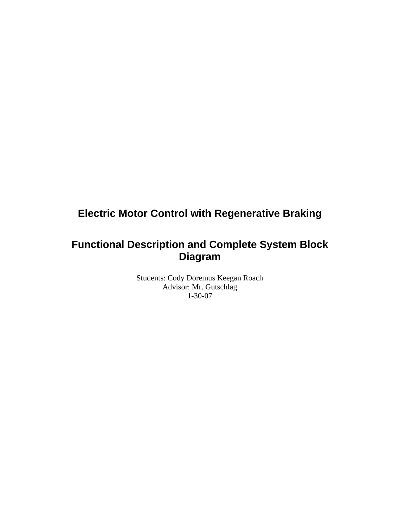# **Electric Motor Control with Regenerative Braking**

## **Functional Description and Complete System Block Diagram**

Students: Cody Doremus Keegan Roach Advisor: Mr. Gutschlag 1-30-07